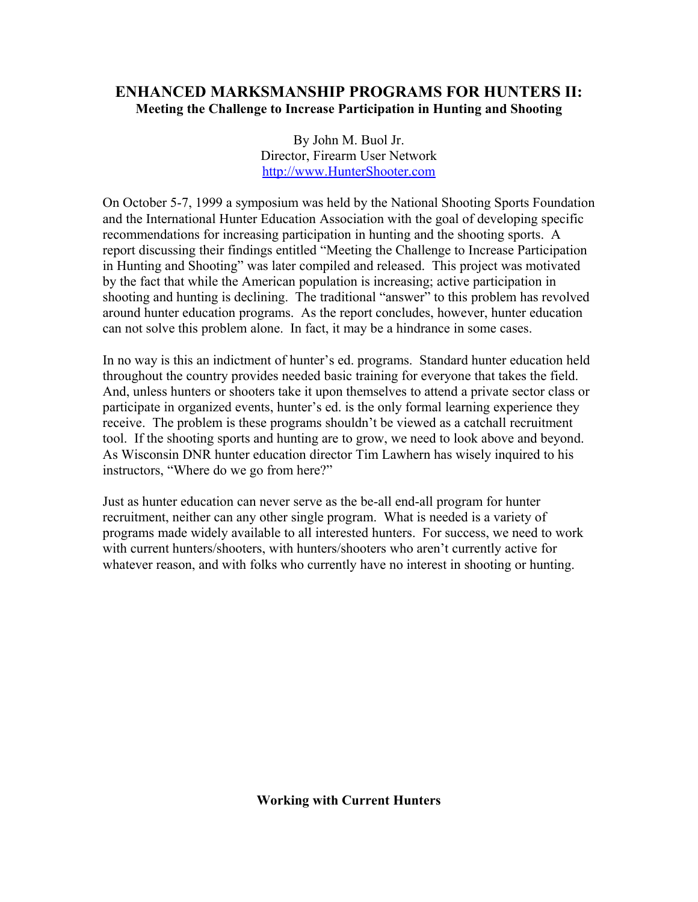# **ENHANCED MARKSMANSHIP PROGRAMS FOR HUNTERS II: Meeting the Challenge to Increase Participation in Hunting and Shooting**

By John M. Buol Jr. Director, Firearm User Network [http://www.HunterShooter.com](http://www.HunterShooter.com/)

On October 5-7, 1999 a symposium was held by the National Shooting Sports Foundation and the International Hunter Education Association with the goal of developing specific recommendations for increasing participation in hunting and the shooting sports. A report discussing their findings entitled "Meeting the Challenge to Increase Participation in Hunting and Shooting" was later compiled and released. This project was motivated by the fact that while the American population is increasing; active participation in shooting and hunting is declining. The traditional "answer" to this problem has revolved around hunter education programs. As the report concludes, however, hunter education can not solve this problem alone. In fact, it may be a hindrance in some cases.

In no way is this an indictment of hunter's ed. programs. Standard hunter education held throughout the country provides needed basic training for everyone that takes the field. And, unless hunters or shooters take it upon themselves to attend a private sector class or participate in organized events, hunter's ed. is the only formal learning experience they receive. The problem is these programs shouldn't be viewed as a catchall recruitment tool. If the shooting sports and hunting are to grow, we need to look above and beyond. As Wisconsin DNR hunter education director Tim Lawhern has wisely inquired to his instructors, "Where do we go from here?"

Just as hunter education can never serve as the be-all end-all program for hunter recruitment, neither can any other single program. What is needed is a variety of programs made widely available to all interested hunters. For success, we need to work with current hunters/shooters, with hunters/shooters who aren't currently active for whatever reason, and with folks who currently have no interest in shooting or hunting.

**Working with Current Hunters**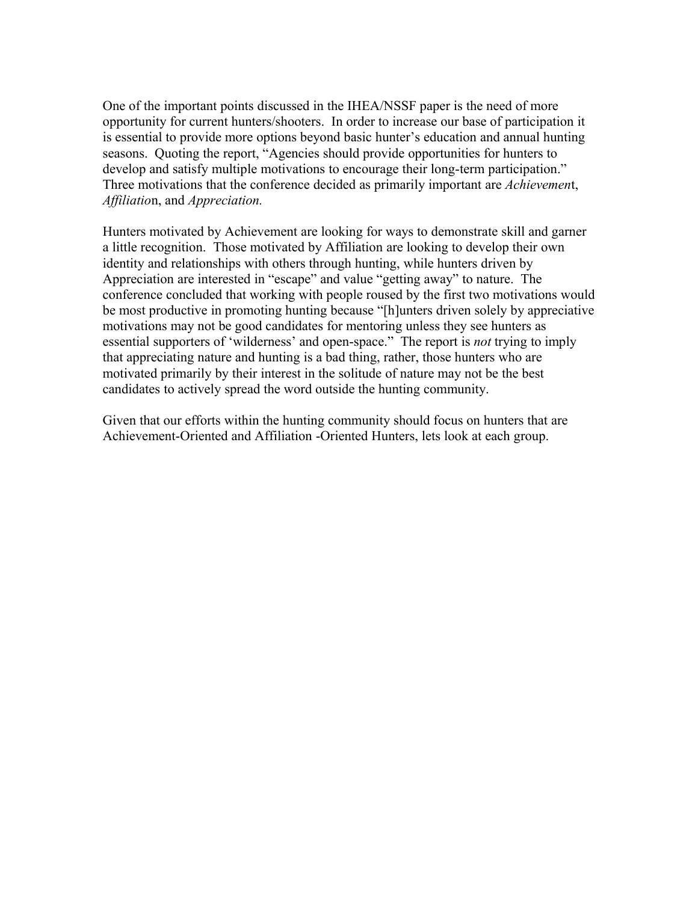One of the important points discussed in the IHEA/NSSF paper is the need of more opportunity for current hunters/shooters. In order to increase our base of participation it is essential to provide more options beyond basic hunter's education and annual hunting seasons. Quoting the report, "Agencies should provide opportunities for hunters to develop and satisfy multiple motivations to encourage their long-term participation." Three motivations that the conference decided as primarily important are *Achievemen*t, *Affiliatio*n, and *Appreciation.*

Hunters motivated by Achievement are looking for ways to demonstrate skill and garner a little recognition. Those motivated by Affiliation are looking to develop their own identity and relationships with others through hunting, while hunters driven by Appreciation are interested in "escape" and value "getting away" to nature. The conference concluded that working with people roused by the first two motivations would be most productive in promoting hunting because "[h]unters driven solely by appreciative motivations may not be good candidates for mentoring unless they see hunters as essential supporters of 'wilderness' and open-space." The report is *not* trying to imply that appreciating nature and hunting is a bad thing, rather, those hunters who are motivated primarily by their interest in the solitude of nature may not be the best candidates to actively spread the word outside the hunting community.

Given that our efforts within the hunting community should focus on hunters that are Achievement-Oriented and Affiliation -Oriented Hunters, lets look at each group.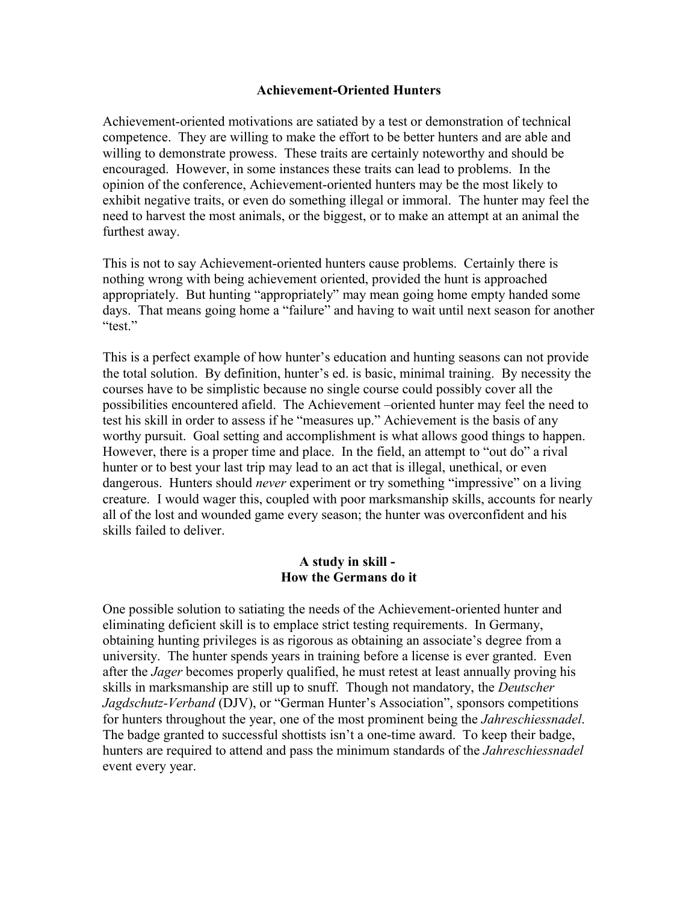#### **Achievement-Oriented Hunters**

Achievement-oriented motivations are satiated by a test or demonstration of technical competence. They are willing to make the effort to be better hunters and are able and willing to demonstrate prowess. These traits are certainly noteworthy and should be encouraged. However, in some instances these traits can lead to problems. In the opinion of the conference, Achievement-oriented hunters may be the most likely to exhibit negative traits, or even do something illegal or immoral. The hunter may feel the need to harvest the most animals, or the biggest, or to make an attempt at an animal the furthest away.

This is not to say Achievement-oriented hunters cause problems. Certainly there is nothing wrong with being achievement oriented, provided the hunt is approached appropriately. But hunting "appropriately" may mean going home empty handed some days. That means going home a "failure" and having to wait until next season for another "test."

This is a perfect example of how hunter's education and hunting seasons can not provide the total solution. By definition, hunter's ed. is basic, minimal training. By necessity the courses have to be simplistic because no single course could possibly cover all the possibilities encountered afield. The Achievement –oriented hunter may feel the need to test his skill in order to assess if he "measures up." Achievement is the basis of any worthy pursuit. Goal setting and accomplishment is what allows good things to happen. However, there is a proper time and place. In the field, an attempt to "out do" a rival hunter or to best your last trip may lead to an act that is illegal, unethical, or even dangerous. Hunters should *never* experiment or try something "impressive" on a living creature. I would wager this, coupled with poor marksmanship skills, accounts for nearly all of the lost and wounded game every season; the hunter was overconfident and his skills failed to deliver.

#### **A study in skill - How the Germans do it**

One possible solution to satiating the needs of the Achievement-oriented hunter and eliminating deficient skill is to emplace strict testing requirements. In Germany, obtaining hunting privileges is as rigorous as obtaining an associate's degree from a university. The hunter spends years in training before a license is ever granted. Even after the *Jager* becomes properly qualified, he must retest at least annually proving his skills in marksmanship are still up to snuff. Though not mandatory, the *Deutscher Jagdschutz-Verband* (DJV), or "German Hunter's Association", sponsors competitions for hunters throughout the year, one of the most prominent being the *Jahreschiessnadel*. The badge granted to successful shottists isn't a one-time award. To keep their badge, hunters are required to attend and pass the minimum standards of the *Jahreschiessnadel* event every year.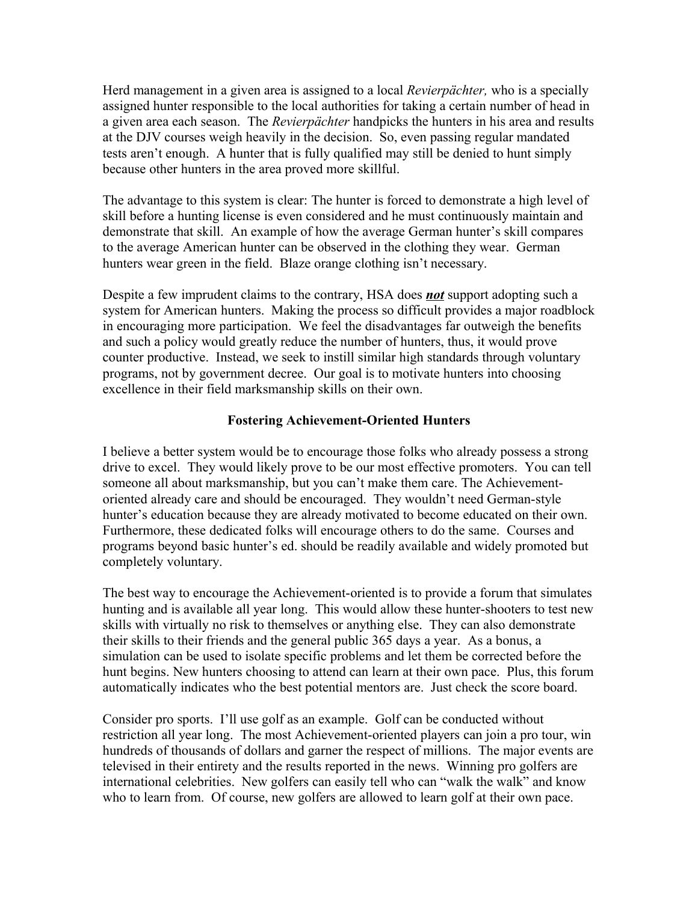Herd management in a given area is assigned to a local *Revierpächter,* who is a specially assigned hunter responsible to the local authorities for taking a certain number of head in a given area each season. The *Revierpächter* handpicks the hunters in his area and results at the DJV courses weigh heavily in the decision. So, even passing regular mandated tests aren't enough. A hunter that is fully qualified may still be denied to hunt simply because other hunters in the area proved more skillful.

The advantage to this system is clear: The hunter is forced to demonstrate a high level of skill before a hunting license is even considered and he must continuously maintain and demonstrate that skill. An example of how the average German hunter's skill compares to the average American hunter can be observed in the clothing they wear. German hunters wear green in the field. Blaze orange clothing isn't necessary.

Despite a few imprudent claims to the contrary, HSA does *not* support adopting such a system for American hunters. Making the process so difficult provides a major roadblock in encouraging more participation. We feel the disadvantages far outweigh the benefits and such a policy would greatly reduce the number of hunters, thus, it would prove counter productive. Instead, we seek to instill similar high standards through voluntary programs, not by government decree. Our goal is to motivate hunters into choosing excellence in their field marksmanship skills on their own.

## **Fostering Achievement-Oriented Hunters**

I believe a better system would be to encourage those folks who already possess a strong drive to excel. They would likely prove to be our most effective promoters. You can tell someone all about marksmanship, but you can't make them care. The Achievementoriented already care and should be encouraged. They wouldn't need German-style hunter's education because they are already motivated to become educated on their own. Furthermore, these dedicated folks will encourage others to do the same. Courses and programs beyond basic hunter's ed. should be readily available and widely promoted but completely voluntary.

The best way to encourage the Achievement-oriented is to provide a forum that simulates hunting and is available all year long. This would allow these hunter-shooters to test new skills with virtually no risk to themselves or anything else. They can also demonstrate their skills to their friends and the general public 365 days a year. As a bonus, a simulation can be used to isolate specific problems and let them be corrected before the hunt begins. New hunters choosing to attend can learn at their own pace. Plus, this forum automatically indicates who the best potential mentors are. Just check the score board.

Consider pro sports. I'll use golf as an example. Golf can be conducted without restriction all year long. The most Achievement-oriented players can join a pro tour, win hundreds of thousands of dollars and garner the respect of millions. The major events are televised in their entirety and the results reported in the news. Winning pro golfers are international celebrities. New golfers can easily tell who can "walk the walk" and know who to learn from. Of course, new golfers are allowed to learn golf at their own pace.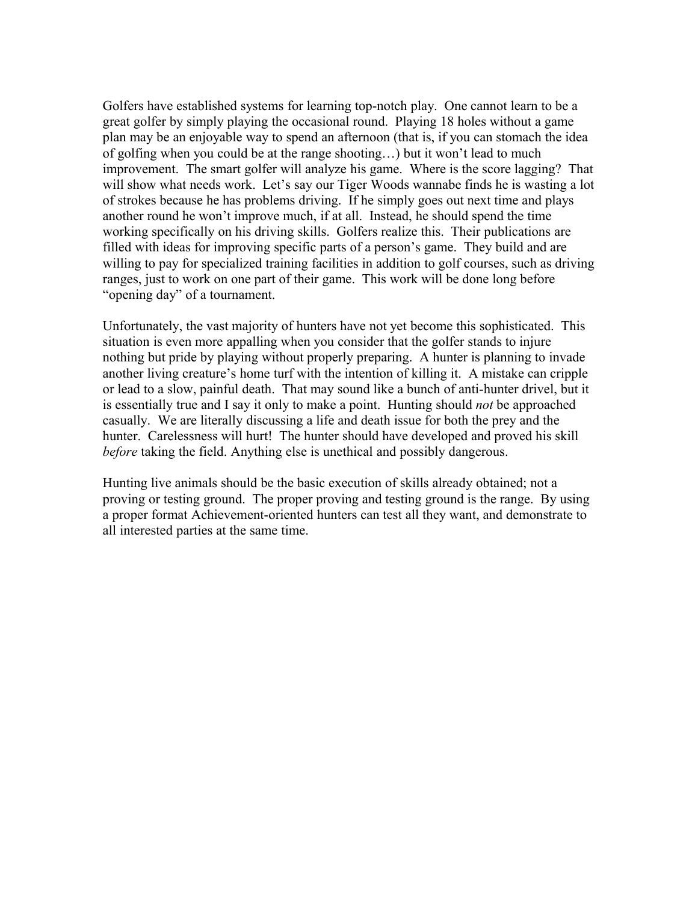Golfers have established systems for learning top-notch play. One cannot learn to be a great golfer by simply playing the occasional round. Playing 18 holes without a game plan may be an enjoyable way to spend an afternoon (that is, if you can stomach the idea of golfing when you could be at the range shooting…) but it won't lead to much improvement. The smart golfer will analyze his game. Where is the score lagging? That will show what needs work. Let's say our Tiger Woods wannabe finds he is wasting a lot of strokes because he has problems driving. If he simply goes out next time and plays another round he won't improve much, if at all. Instead, he should spend the time working specifically on his driving skills. Golfers realize this. Their publications are filled with ideas for improving specific parts of a person's game. They build and are willing to pay for specialized training facilities in addition to golf courses, such as driving ranges, just to work on one part of their game. This work will be done long before "opening day" of a tournament.

Unfortunately, the vast majority of hunters have not yet become this sophisticated. This situation is even more appalling when you consider that the golfer stands to injure nothing but pride by playing without properly preparing. A hunter is planning to invade another living creature's home turf with the intention of killing it. A mistake can cripple or lead to a slow, painful death. That may sound like a bunch of anti-hunter drivel, but it is essentially true and I say it only to make a point. Hunting should *not* be approached casually. We are literally discussing a life and death issue for both the prey and the hunter. Carelessness will hurt! The hunter should have developed and proved his skill *before* taking the field. Anything else is unethical and possibly dangerous.

Hunting live animals should be the basic execution of skills already obtained; not a proving or testing ground. The proper proving and testing ground is the range. By using a proper format Achievement-oriented hunters can test all they want, and demonstrate to all interested parties at the same time.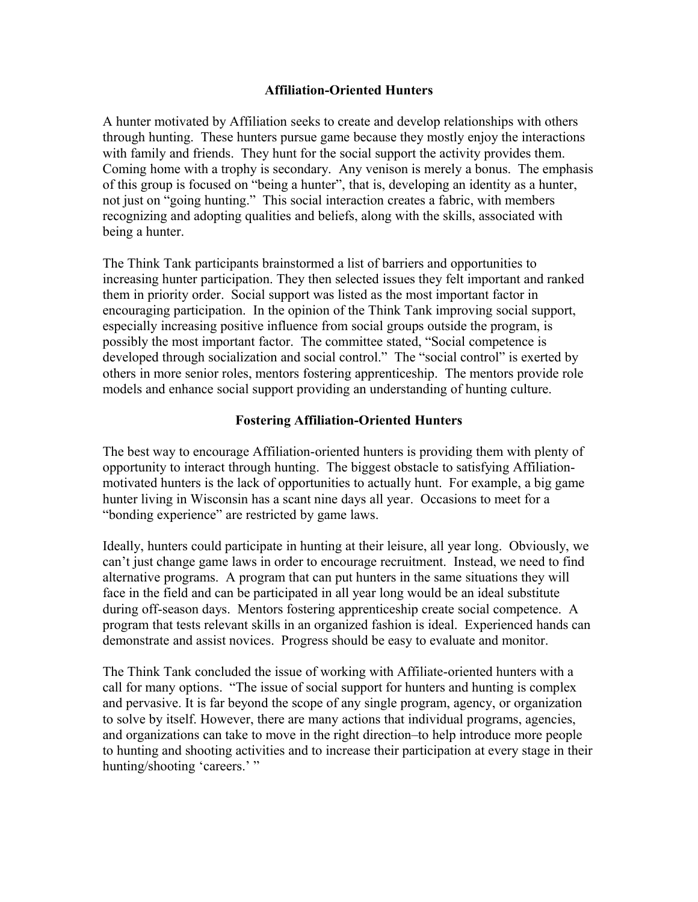## **Affiliation-Oriented Hunters**

A hunter motivated by Affiliation seeks to create and develop relationships with others through hunting. These hunters pursue game because they mostly enjoy the interactions with family and friends. They hunt for the social support the activity provides them. Coming home with a trophy is secondary. Any venison is merely a bonus. The emphasis of this group is focused on "being a hunter", that is, developing an identity as a hunter, not just on "going hunting." This social interaction creates a fabric, with members recognizing and adopting qualities and beliefs, along with the skills, associated with being a hunter.

The Think Tank participants brainstormed a list of barriers and opportunities to increasing hunter participation. They then selected issues they felt important and ranked them in priority order. Social support was listed as the most important factor in encouraging participation. In the opinion of the Think Tank improving social support, especially increasing positive influence from social groups outside the program, is possibly the most important factor. The committee stated, "Social competence is developed through socialization and social control." The "social control" is exerted by others in more senior roles, mentors fostering apprenticeship. The mentors provide role models and enhance social support providing an understanding of hunting culture.

## **Fostering Affiliation-Oriented Hunters**

The best way to encourage Affiliation-oriented hunters is providing them with plenty of opportunity to interact through hunting. The biggest obstacle to satisfying Affiliationmotivated hunters is the lack of opportunities to actually hunt. For example, a big game hunter living in Wisconsin has a scant nine days all year. Occasions to meet for a "bonding experience" are restricted by game laws.

Ideally, hunters could participate in hunting at their leisure, all year long. Obviously, we can't just change game laws in order to encourage recruitment. Instead, we need to find alternative programs. A program that can put hunters in the same situations they will face in the field and can be participated in all year long would be an ideal substitute during off-season days. Mentors fostering apprenticeship create social competence. A program that tests relevant skills in an organized fashion is ideal. Experienced hands can demonstrate and assist novices. Progress should be easy to evaluate and monitor.

The Think Tank concluded the issue of working with Affiliate-oriented hunters with a call for many options. "The issue of social support for hunters and hunting is complex and pervasive. It is far beyond the scope of any single program, agency, or organization to solve by itself. However, there are many actions that individual programs, agencies, and organizations can take to move in the right direction–to help introduce more people to hunting and shooting activities and to increase their participation at every stage in their hunting/shooting 'careers.' "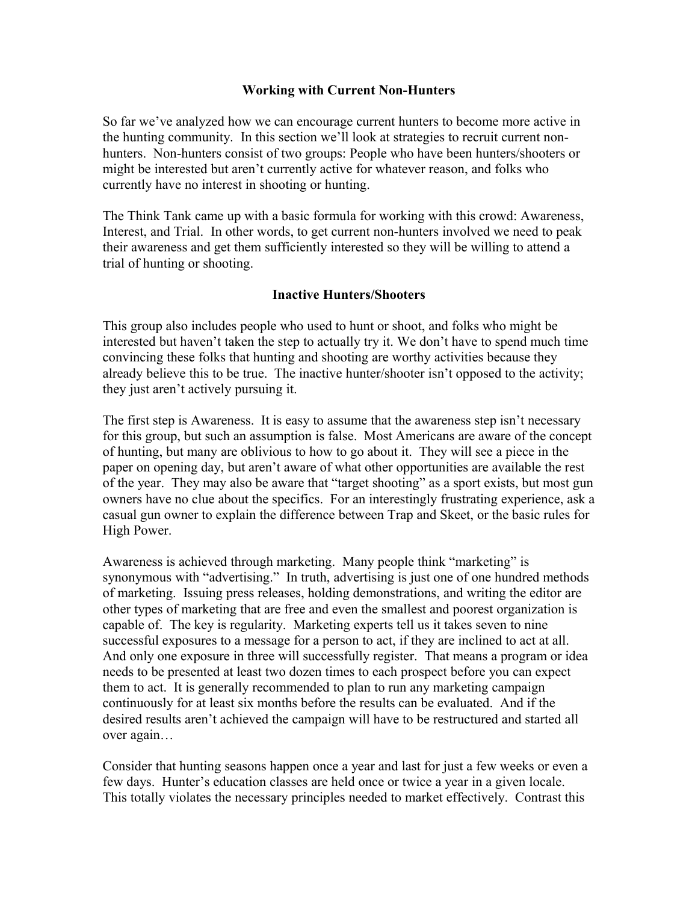#### **Working with Current Non-Hunters**

So far we've analyzed how we can encourage current hunters to become more active in the hunting community. In this section we'll look at strategies to recruit current nonhunters. Non-hunters consist of two groups: People who have been hunters/shooters or might be interested but aren't currently active for whatever reason, and folks who currently have no interest in shooting or hunting.

The Think Tank came up with a basic formula for working with this crowd: Awareness, Interest, and Trial. In other words, to get current non-hunters involved we need to peak their awareness and get them sufficiently interested so they will be willing to attend a trial of hunting or shooting.

## **Inactive Hunters/Shooters**

This group also includes people who used to hunt or shoot, and folks who might be interested but haven't taken the step to actually try it. We don't have to spend much time convincing these folks that hunting and shooting are worthy activities because they already believe this to be true. The inactive hunter/shooter isn't opposed to the activity; they just aren't actively pursuing it.

The first step is Awareness. It is easy to assume that the awareness step isn't necessary for this group, but such an assumption is false. Most Americans are aware of the concept of hunting, but many are oblivious to how to go about it. They will see a piece in the paper on opening day, but aren't aware of what other opportunities are available the rest of the year. They may also be aware that "target shooting" as a sport exists, but most gun owners have no clue about the specifics. For an interestingly frustrating experience, ask a casual gun owner to explain the difference between Trap and Skeet, or the basic rules for High Power.

Awareness is achieved through marketing. Many people think "marketing" is synonymous with "advertising." In truth, advertising is just one of one hundred methods of marketing. Issuing press releases, holding demonstrations, and writing the editor are other types of marketing that are free and even the smallest and poorest organization is capable of. The key is regularity. Marketing experts tell us it takes seven to nine successful exposures to a message for a person to act, if they are inclined to act at all. And only one exposure in three will successfully register. That means a program or idea needs to be presented at least two dozen times to each prospect before you can expect them to act. It is generally recommended to plan to run any marketing campaign continuously for at least six months before the results can be evaluated. And if the desired results aren't achieved the campaign will have to be restructured and started all over again…

Consider that hunting seasons happen once a year and last for just a few weeks or even a few days. Hunter's education classes are held once or twice a year in a given locale. This totally violates the necessary principles needed to market effectively. Contrast this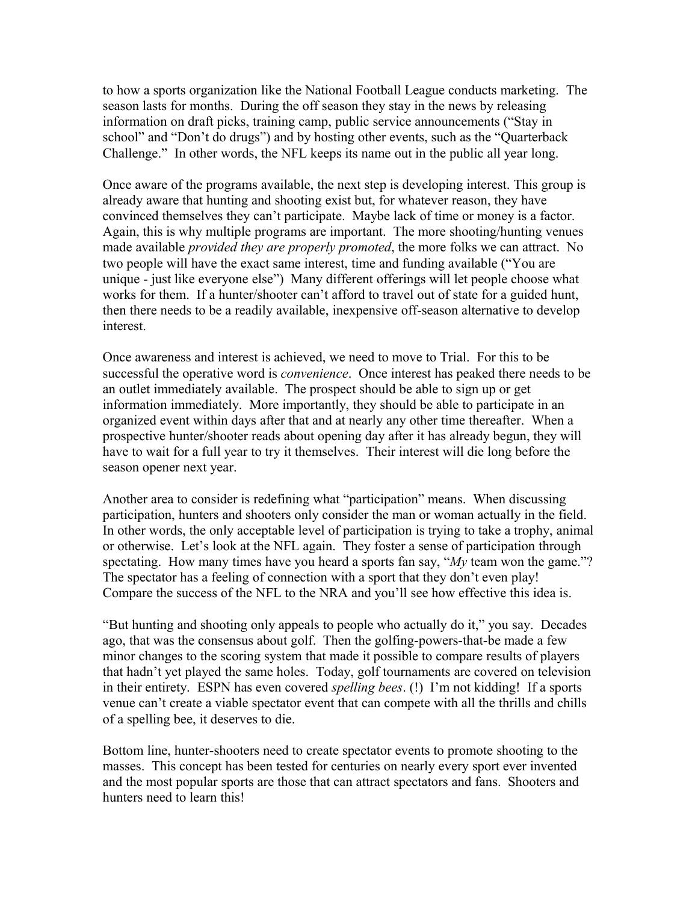to how a sports organization like the National Football League conducts marketing. The season lasts for months. During the off season they stay in the news by releasing information on draft picks, training camp, public service announcements ("Stay in school" and "Don't do drugs") and by hosting other events, such as the "Quarterback Challenge." In other words, the NFL keeps its name out in the public all year long.

Once aware of the programs available, the next step is developing interest. This group is already aware that hunting and shooting exist but, for whatever reason, they have convinced themselves they can't participate. Maybe lack of time or money is a factor. Again, this is why multiple programs are important. The more shooting/hunting venues made available *provided they are properly promoted*, the more folks we can attract. No two people will have the exact same interest, time and funding available ("You are unique - just like everyone else") Many different offerings will let people choose what works for them. If a hunter/shooter can't afford to travel out of state for a guided hunt, then there needs to be a readily available, inexpensive off-season alternative to develop interest.

Once awareness and interest is achieved, we need to move to Trial. For this to be successful the operative word is *convenience*. Once interest has peaked there needs to be an outlet immediately available. The prospect should be able to sign up or get information immediately. More importantly, they should be able to participate in an organized event within days after that and at nearly any other time thereafter. When a prospective hunter/shooter reads about opening day after it has already begun, they will have to wait for a full year to try it themselves. Their interest will die long before the season opener next year.

Another area to consider is redefining what "participation" means. When discussing participation, hunters and shooters only consider the man or woman actually in the field. In other words, the only acceptable level of participation is trying to take a trophy, animal or otherwise. Let's look at the NFL again. They foster a sense of participation through spectating. How many times have you heard a sports fan say, "*My* team won the game."? The spectator has a feeling of connection with a sport that they don't even play! Compare the success of the NFL to the NRA and you'll see how effective this idea is.

"But hunting and shooting only appeals to people who actually do it," you say. Decades ago, that was the consensus about golf. Then the golfing-powers-that-be made a few minor changes to the scoring system that made it possible to compare results of players that hadn't yet played the same holes. Today, golf tournaments are covered on television in their entirety. ESPN has even covered *spelling bees*. (!) I'm not kidding! If a sports venue can't create a viable spectator event that can compete with all the thrills and chills of a spelling bee, it deserves to die.

Bottom line, hunter-shooters need to create spectator events to promote shooting to the masses. This concept has been tested for centuries on nearly every sport ever invented and the most popular sports are those that can attract spectators and fans. Shooters and hunters need to learn this!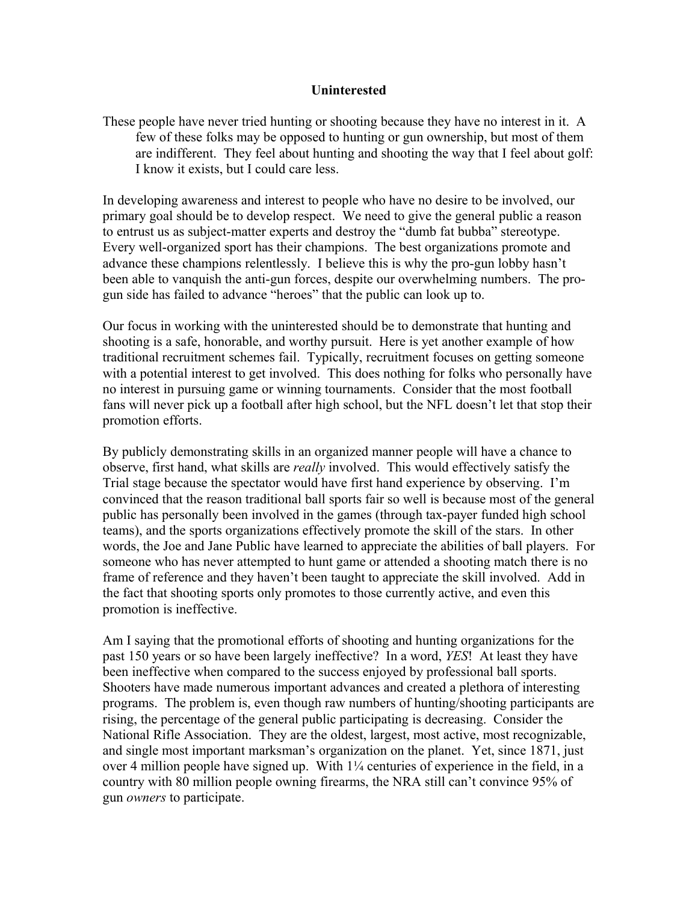#### **Uninterested**

These people have never tried hunting or shooting because they have no interest in it. A few of these folks may be opposed to hunting or gun ownership, but most of them are indifferent. They feel about hunting and shooting the way that I feel about golf: I know it exists, but I could care less.

In developing awareness and interest to people who have no desire to be involved, our primary goal should be to develop respect. We need to give the general public a reason to entrust us as subject-matter experts and destroy the "dumb fat bubba" stereotype. Every well-organized sport has their champions. The best organizations promote and advance these champions relentlessly. I believe this is why the pro-gun lobby hasn't been able to vanquish the anti-gun forces, despite our overwhelming numbers. The progun side has failed to advance "heroes" that the public can look up to.

Our focus in working with the uninterested should be to demonstrate that hunting and shooting is a safe, honorable, and worthy pursuit. Here is yet another example of how traditional recruitment schemes fail. Typically, recruitment focuses on getting someone with a potential interest to get involved. This does nothing for folks who personally have no interest in pursuing game or winning tournaments. Consider that the most football fans will never pick up a football after high school, but the NFL doesn't let that stop their promotion efforts.

By publicly demonstrating skills in an organized manner people will have a chance to observe, first hand, what skills are *really* involved. This would effectively satisfy the Trial stage because the spectator would have first hand experience by observing. I'm convinced that the reason traditional ball sports fair so well is because most of the general public has personally been involved in the games (through tax-payer funded high school teams), and the sports organizations effectively promote the skill of the stars. In other words, the Joe and Jane Public have learned to appreciate the abilities of ball players. For someone who has never attempted to hunt game or attended a shooting match there is no frame of reference and they haven't been taught to appreciate the skill involved. Add in the fact that shooting sports only promotes to those currently active, and even this promotion is ineffective.

Am I saying that the promotional efforts of shooting and hunting organizations for the past 150 years or so have been largely ineffective? In a word, *YES*! At least they have been ineffective when compared to the success enjoyed by professional ball sports. Shooters have made numerous important advances and created a plethora of interesting programs. The problem is, even though raw numbers of hunting/shooting participants are rising, the percentage of the general public participating is decreasing. Consider the National Rifle Association. They are the oldest, largest, most active, most recognizable, and single most important marksman's organization on the planet. Yet, since 1871, just over 4 million people have signed up. With 1¼ centuries of experience in the field, in a country with 80 million people owning firearms, the NRA still can't convince 95% of gun *owners* to participate.